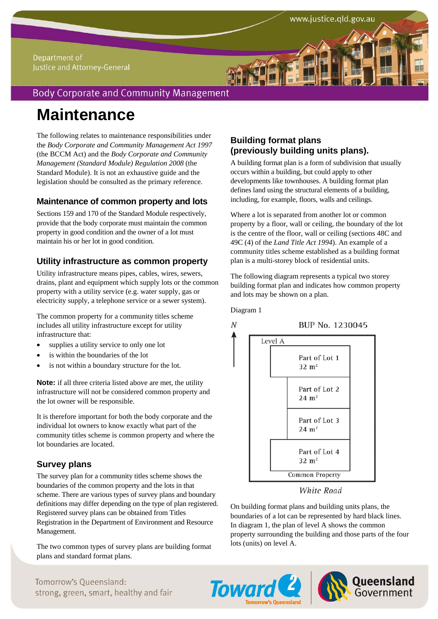#### Department of Justice and Attorney-General

# **Body Corporate and Community Management**

# **Maintenance**

The following relates to maintenance responsibilities under the *Body Corporate and Community Management Act 1997* (the BCCM Act) and the *Body Corporate and Community Management (Standard Module) Regulation 2008* (the Standard Module). It is not an exhaustive guide and the legislation should be consulted as the primary reference.

# **Maintenance of common property and lots**

Sections 159 and 170 of the Standard Module respectively, provide that the body corporate must maintain the common property in good condition and the owner of a lot must maintain his or her lot in good condition.

# **Utility infrastructure as common property**

Utility infrastructure means pipes, cables, wires, sewers, drains, plant and equipment which supply lots or the common property with a utility service (e.g. water supply, gas or electricity supply, a telephone service or a sewer system).

The common property for a community titles scheme includes all utility infrastructure except for utility infrastructure that:

- supplies a utility service to only one lot
- is within the boundaries of the lot
- is not within a boundary structure for the lot.

**Note:** if all three criteria listed above are met, the utility infrastructure will not be considered common property and the lot owner will be responsible.

It is therefore important for both the body corporate and the individual lot owners to know exactly what part of the community titles scheme is common property and where the lot boundaries are located.

# **Survey plans**

The survey plan for a community titles scheme shows the boundaries of the common property and the lots in that scheme. There are various types of survey plans and boundary definitions may differ depending on the type of plan registered. Registered survey plans can be obtained from Titles Registration in the Department of Environment and Resource Management.

The two common types of survey plans are building format plans and standard format plans.

# **Building format plans (previously building units plans).**

A building format plan is a form of subdivision that usually occurs within a building, but could apply to other developments like townhouses. A building format plan defines land using the structural elements of a building, including, for example, floors, walls and ceilings.

Where a lot is separated from another lot or common property by a floor, wall or ceiling, the boundary of the lot is the centre of the floor, wall or ceiling (sections 48C and 49C (4) of the *Land Title Act 1994*). An example of a community titles scheme established as a building format plan is a multi-storey block of residential units.

The following diagram represents a typical two storey building format plan and indicates how common property and lots may be shown on a plan.

Diagram 1

N

BUP No. 1230045



#### **White Road**

On building format plans and building units plans, the boundaries of a lot can be represented by hard black lines. In diagram 1, the plan of level A shows the common property surrounding the building and those parts of the four lots (units) on level A.



# **Toward 2**

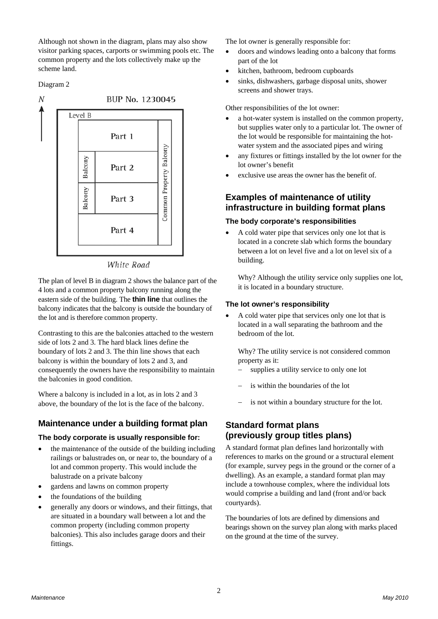Although not shown in the diagram, plans may also show visitor parking spaces, carports or swimming pools etc. The common property and the lots collectively make up the scheme land.

#### Diagram 2



White Road

The plan of level B in diagram 2 shows the balance part of the 4 lots and a common property balcony running along the eastern side of the building. The **thin line** that outlines the balcony indicates that the balcony is outside the boundary of the lot and is therefore common property.

Contrasting to this are the balconies attached to the western side of lots 2 and 3. The hard black lines define the boundary of lots 2 and 3. The thin line shows that each balcony is within the boundary of lots 2 and 3, and consequently the owners have the responsibility to maintain the balconies in good condition.

Where a balcony is included in a lot, as in lots 2 and 3 above, the boundary of the lot is the face of the balcony.

# **Maintenance under a building format plan**

#### **The body corporate is usually responsible for:**

- the maintenance of the outside of the building including railings or balustrades on, or near to, the boundary of a lot and common property. This would include the balustrade on a private balcony
- gardens and lawns on common property
- the foundations of the building
- generally any doors or windows, and their fittings, that are situated in a boundary wall between a lot and the common property (including common property balconies). This also includes garage doors and their fittings.

The lot owner is generally responsible for:

- doors and windows leading onto a balcony that forms part of the lot
- kitchen, bathroom, bedroom cupboards
- sinks, dishwashers, garbage disposal units, shower screens and shower trays.

Other responsibilities of the lot owner:

- a hot-water system is installed on the common property, but supplies water only to a particular lot. The owner of the lot would be responsible for maintaining the hotwater system and the associated pipes and wiring
- any fixtures or fittings installed by the lot owner for the lot owner's benefit
- exclusive use areas the owner has the benefit of.

# **Examples of maintenance of utility infrastructure in building format plans**

#### **The body corporate's responsibilities**

 A cold water pipe that services only one lot that is located in a concrete slab which forms the boundary between a lot on level five and a lot on level six of a building.

Why? Although the utility service only supplies one lot, it is located in a boundary structure.

#### **The lot owner's responsibility**

 A cold water pipe that services only one lot that is located in a wall separating the bathroom and the bedroom of the lot.

Why? The utility service is not considered common property as it:

- supplies a utility service to only one lot
- is within the boundaries of the lot
- is not within a boundary structure for the lot.

# **Standard format plans (previously group titles plans)**

A standard format plan defines land horizontally with references to marks on the ground or a structural element (for example, survey pegs in the ground or the corner of a dwelling). As an example, a standard format plan may include a townhouse complex, where the individual lots would comprise a building and land (front and/or back courtyards).

The boundaries of lots are defined by dimensions and bearings shown on the survey plan along with marks placed on the ground at the time of the survey.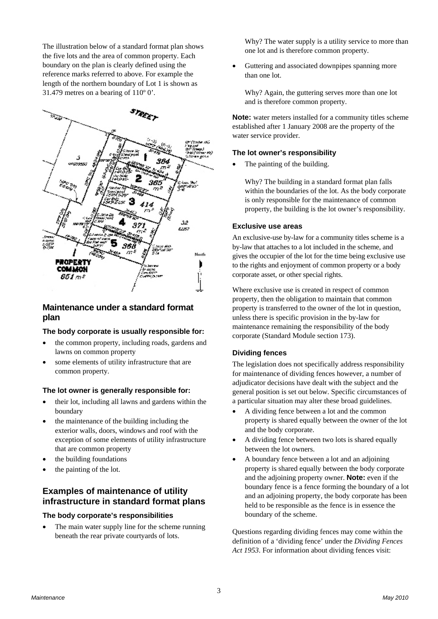The illustration below of a standard format plan shows the five lots and the area of common property. Each boundary on the plan is clearly defined using the reference marks referred to above. For example the length of the northern boundary of Lot 1 is shown as 31.479 metres on a bearing of  $110^{\circ}$  0'.



#### **Maintenance under a standard format plan**

#### **The body corporate is usually responsible for:**

- the common property, including roads, gardens and lawns on common property
- some elements of utility infrastructure that are common property.

#### **The lot owner is generally responsible for:**

- their lot, including all lawns and gardens within the boundary
- the maintenance of the building including the exterior walls, doors, windows and roof with the exception of some elements of utility infrastructure that are common property
- the building foundations
- the painting of the lot.

# **Examples of maintenance of utility infrastructure in standard format plans**

#### **The body corporate's responsibilities**

 The main water supply line for the scheme running beneath the rear private courtyards of lots.

Why? The water supply is a utility service to more than one lot and is therefore common property.

 Guttering and associated downpipes spanning more than one lot.

Why? Again, the guttering serves more than one lot and is therefore common property.

**Note:** water meters installed for a community titles scheme established after 1 January 2008 are the property of the water service provider.

# **The lot owner's responsibility**

The painting of the building.

Why? The building in a standard format plan falls within the boundaries of the lot. As the body corporate is only responsible for the maintenance of common property, the building is the lot owner's responsibility.

#### **Exclusive use areas**

An exclusive-use by-law for a community titles scheme is a by-law that attaches to a lot included in the scheme, and gives the occupier of the lot for the time being exclusive use to the rights and enjoyment of common property or a body corporate asset, or other special rights.

Where exclusive use is created in respect of common property, then the obligation to maintain that common property is transferred to the owner of the lot in question, unless there is specific provision in the by-law for maintenance remaining the responsibility of the body corporate (Standard Module section 173).

#### **Dividing fences**

The legislation does not specifically address responsibility for maintenance of dividing fences however, a number of adjudicator decisions have dealt with the subject and the general position is set out below. Specific circumstances of a particular situation may alter these broad guidelines.

- A dividing fence between a lot and the common property is shared equally between the owner of the lot and the body corporate.
- A dividing fence between two lots is shared equally between the lot owners.
- A boundary fence between a lot and an adjoining property is shared equally between the body corporate and the adjoining property owner. **Note:** even if the boundary fence is a fence forming the boundary of a lot and an adjoining property, the body corporate has been held to be responsible as the fence is in essence the boundary of the scheme.

Questions regarding dividing fences may come within the definition of a 'dividing fence' under the *Dividing Fences Act 1953*. For information about dividing fences visit: